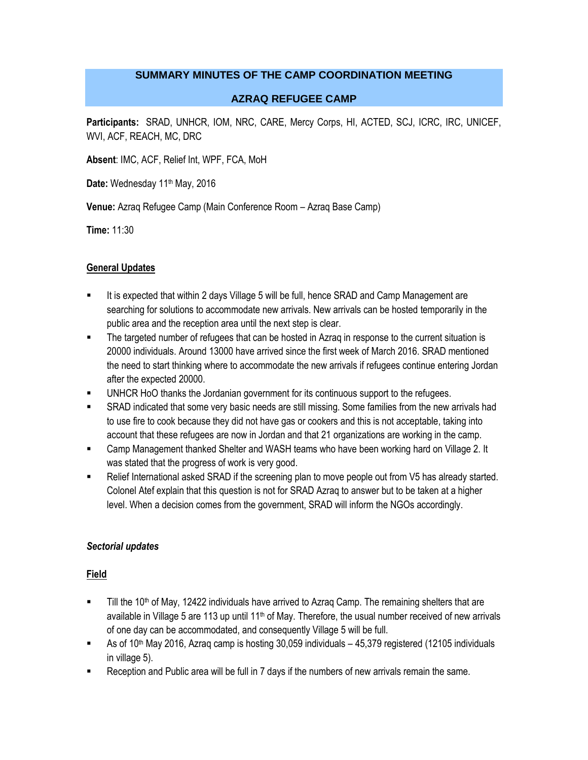#### **SUMMARY MINUTES OF THE CAMP COORDINATION MEETING**

#### **AZRAQ REFUGEE CAMP**

**Participants:** SRAD, UNHCR, IOM, NRC, CARE, Mercy Corps, HI, ACTED, SCJ, ICRC, IRC, UNICEF, WVI, ACF, REACH, MC, DRC

**Absent**: IMC, ACF, Relief Int, WPF, FCA, MoH

Date: Wednesday 11<sup>th</sup> May, 2016

**Venue:** Azraq Refugee Camp (Main Conference Room – Azraq Base Camp)

**Time:** 11:30

#### **General Updates**

- It is expected that within 2 days Village 5 will be full, hence SRAD and Camp Management are searching for solutions to accommodate new arrivals. New arrivals can be hosted temporarily in the public area and the reception area until the next step is clear.
- The targeted number of refugees that can be hosted in Azraq in response to the current situation is 20000 individuals. Around 13000 have arrived since the first week of March 2016. SRAD mentioned the need to start thinking where to accommodate the new arrivals if refugees continue entering Jordan after the expected 20000.
- UNHCR HoO thanks the Jordanian government for its continuous support to the refugees.
- SRAD indicated that some very basic needs are still missing. Some families from the new arrivals had to use fire to cook because they did not have gas or cookers and this is not acceptable, taking into account that these refugees are now in Jordan and that 21 organizations are working in the camp.
- Camp Management thanked Shelter and WASH teams who have been working hard on Village 2. It was stated that the progress of work is very good.
- Relief International asked SRAD if the screening plan to move people out from V5 has already started. Colonel Atef explain that this question is not for SRAD Azraq to answer but to be taken at a higher level. When a decision comes from the government, SRAD will inform the NGOs accordingly.

#### *Sectorial updates*

#### **Field**

- $\blacksquare$  Till the 10<sup>th</sup> of May, 12422 individuals have arrived to Azraq Camp. The remaining shelters that are available in Village 5 are 113 up until 11<sup>th</sup> of May. Therefore, the usual number received of new arrivals of one day can be accommodated, and consequently Village 5 will be full.
- As of 10<sup>th</sup> May 2016, Azraq camp is hosting 30,059 individuals 45,379 registered (12105 individuals in village 5).
- Reception and Public area will be full in 7 days if the numbers of new arrivals remain the same.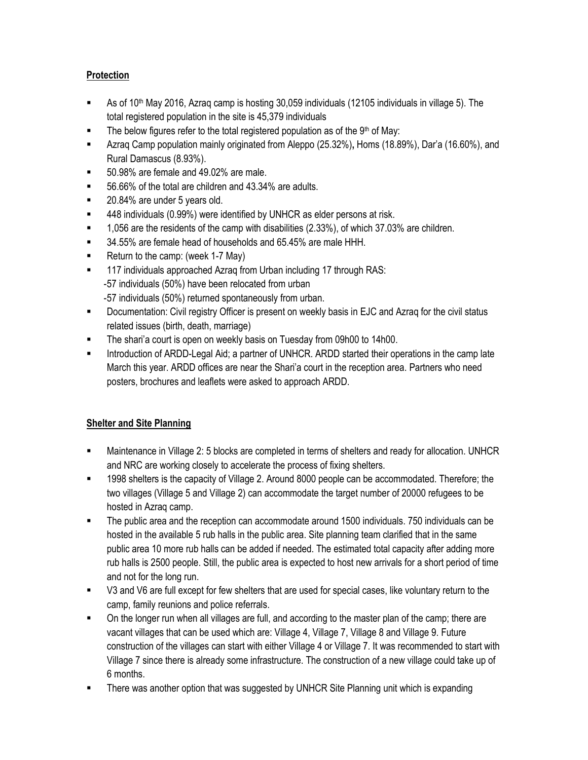## **Protection**

- As of 10th May 2016, Azraq camp is hosting 30,059 individuals (12105 individuals in village 5). The total registered population in the site is 45,379 individuals
- $\blacksquare$  The below figures refer to the total registered population as of the 9<sup>th</sup> of May:
- Azraq Camp population mainly originated from Aleppo (25.32%)**,** Homs (18.89%), Dar'a (16.60%), and Rural Damascus (8.93%).
- 50.98% are female and 49.02% are male.
- 56.66% of the total are children and 43.34% are adults.
- 20.84% are under 5 years old.
- 448 individuals (0.99%) were identified by UNHCR as elder persons at risk.
- 1,056 are the residents of the camp with disabilities (2.33%), of which 37.03% are children.
- 34.55% are female head of households and 65.45% are male HHH.
- Return to the camp: (week 1-7 May)
- **117 individuals approached Azrag from Urban including 17 through RAS:** -57 individuals (50%) have been relocated from urban -57 individuals (50%) returned spontaneously from urban.
- **Documentation: Civil registry Officer is present on weekly basis in EJC and Azraq for the civil status** related issues (birth, death, marriage)
- **The shari's court is open on weekly basis on Tuesday from 09h00 to 14h00.**
- **Introduction of ARDD-Legal Aid; a partner of UNHCR. ARDD started their operations in the camp late** March this year. ARDD offices are near the Shari'a court in the reception area. Partners who need posters, brochures and leaflets were asked to approach ARDD.

# **Shelter and Site Planning**

- Maintenance in Village 2: 5 blocks are completed in terms of shelters and ready for allocation. UNHCR and NRC are working closely to accelerate the process of fixing shelters.
- 1998 shelters is the capacity of Village 2. Around 8000 people can be accommodated. Therefore; the two villages (Village 5 and Village 2) can accommodate the target number of 20000 refugees to be hosted in Azraq camp.
- The public area and the reception can accommodate around 1500 individuals. 750 individuals can be hosted in the available 5 rub halls in the public area. Site planning team clarified that in the same public area 10 more rub halls can be added if needed. The estimated total capacity after adding more rub halls is 2500 people. Still, the public area is expected to host new arrivals for a short period of time and not for the long run.
- V3 and V6 are full except for few shelters that are used for special cases, like voluntary return to the camp, family reunions and police referrals.
- On the longer run when all villages are full, and according to the master plan of the camp; there are vacant villages that can be used which are: Village 4, Village 7, Village 8 and Village 9. Future construction of the villages can start with either Village 4 or Village 7. It was recommended to start with Village 7 since there is already some infrastructure. The construction of a new village could take up of 6 months.
- There was another option that was suggested by UNHCR Site Planning unit which is expanding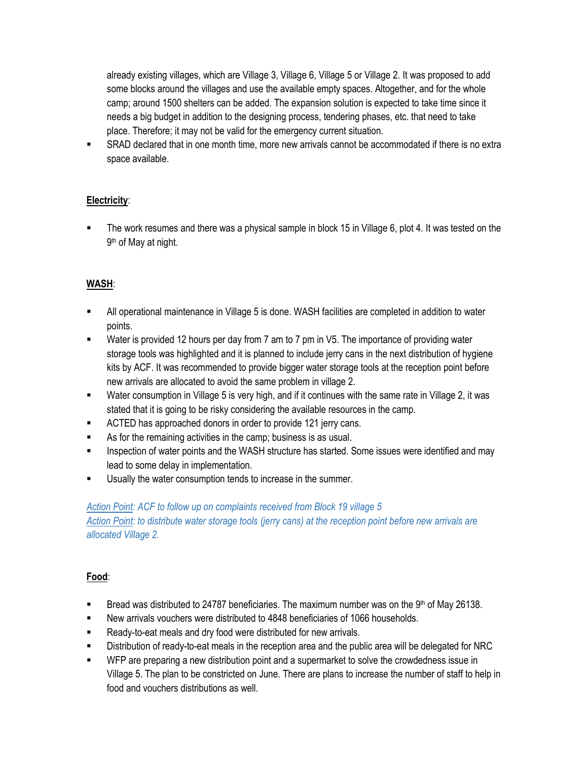already existing villages, which are Village 3, Village 6, Village 5 or Village 2. It was proposed to add some blocks around the villages and use the available empty spaces. Altogether, and for the whole camp; around 1500 shelters can be added. The expansion solution is expected to take time since it needs a big budget in addition to the designing process, tendering phases, etc. that need to take place. Therefore; it may not be valid for the emergency current situation.

 SRAD declared that in one month time, more new arrivals cannot be accommodated if there is no extra space available.

## **Electricity**:

 The work resumes and there was a physical sample in block 15 in Village 6, plot 4. It was tested on the 9<sup>th</sup> of May at night.

## **WASH**:

- All operational maintenance in Village 5 is done. WASH facilities are completed in addition to water points.
- Water is provided 12 hours per day from 7 am to 7 pm in V5. The importance of providing water storage tools was highlighted and it is planned to include jerry cans in the next distribution of hygiene kits by ACF. It was recommended to provide bigger water storage tools at the reception point before new arrivals are allocated to avoid the same problem in village 2.
- Water consumption in Village 5 is very high, and if it continues with the same rate in Village 2, it was stated that it is going to be risky considering the available resources in the camp.
- **EXECTED has approached donors in order to provide 121 jerry cans.**
- As for the remaining activities in the camp; business is as usual.
- Inspection of water points and the WASH structure has started. Some issues were identified and may lead to some delay in implementation.
- Usually the water consumption tends to increase in the summer.

### *Action Point: ACF to follow up on complaints received from Block 19 village 5*

*Action Point: to distribute water storage tools (jerry cans) at the reception point before new arrivals are allocated Village 2.*

### **Food**:

- **Bread was distributed to 24787 beneficiaries. The maximum number was on the 9th of May 26138.**
- New arrivals vouchers were distributed to 4848 beneficiaries of 1066 households.
- **EXECT** Ready-to-eat meals and dry food were distributed for new arrivals.
- Distribution of ready-to-eat meals in the reception area and the public area will be delegated for NRC
- WFP are preparing a new distribution point and a supermarket to solve the crowdedness issue in Village 5. The plan to be constricted on June. There are plans to increase the number of staff to help in food and vouchers distributions as well.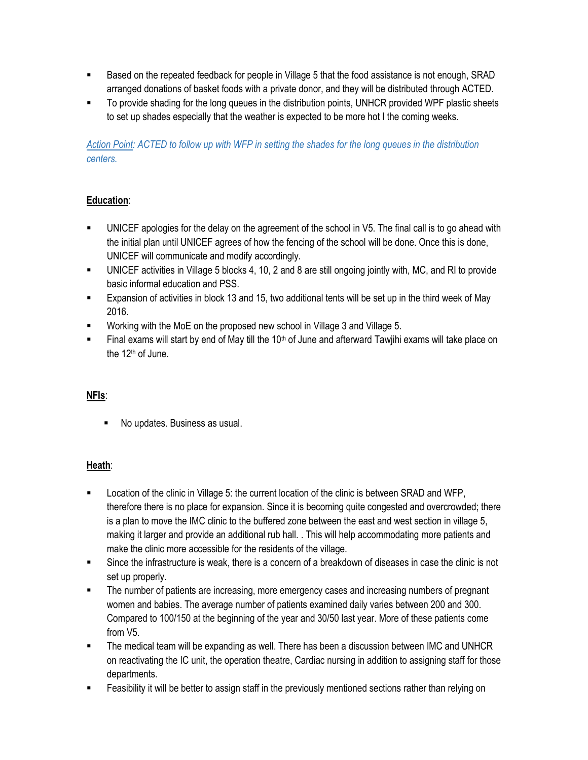- Based on the repeated feedback for people in Village 5 that the food assistance is not enough, SRAD arranged donations of basket foods with a private donor, and they will be distributed through ACTED.
- To provide shading for the long queues in the distribution points, UNHCR provided WPF plastic sheets to set up shades especially that the weather is expected to be more hot I the coming weeks.

*Action Point: ACTED to follow up with WFP in setting the shades for the long queues in the distribution centers.*

# **Education**:

- UNICEF apologies for the delay on the agreement of the school in V5. The final call is to go ahead with the initial plan until UNICEF agrees of how the fencing of the school will be done. Once this is done, UNICEF will communicate and modify accordingly.
- UNICEF activities in Village 5 blocks 4, 10, 2 and 8 are still ongoing jointly with, MC, and RI to provide basic informal education and PSS.
- Expansion of activities in block 13 and 15, two additional tents will be set up in the third week of May 2016.
- **Working with the MoE on the proposed new school in Village 3 and Village 5.**
- Final exams will start by end of May till the  $10<sup>th</sup>$  of June and afterward Tawjihi exams will take place on the 12<sup>th</sup> of June.

# **NFIs**:

■ No updates. Business as usual.

### **Heath**:

- **Location of the clinic in Village 5: the current location of the clinic is between SRAD and WFP,** therefore there is no place for expansion. Since it is becoming quite congested and overcrowded; there is a plan to move the IMC clinic to the buffered zone between the east and west section in village 5, making it larger and provide an additional rub hall. . This will help accommodating more patients and make the clinic more accessible for the residents of the village.
- Since the infrastructure is weak, there is a concern of a breakdown of diseases in case the clinic is not set up properly.
- **The number of patients are increasing, more emergency cases and increasing numbers of pregnant** women and babies. The average number of patients examined daily varies between 200 and 300. Compared to 100/150 at the beginning of the year and 30/50 last year. More of these patients come from V5.
- The medical team will be expanding as well. There has been a discussion between IMC and UNHCR on reactivating the IC unit, the operation theatre, Cardiac nursing in addition to assigning staff for those departments.
- **Feasibility it will be better to assign staff in the previously mentioned sections rather than relying on**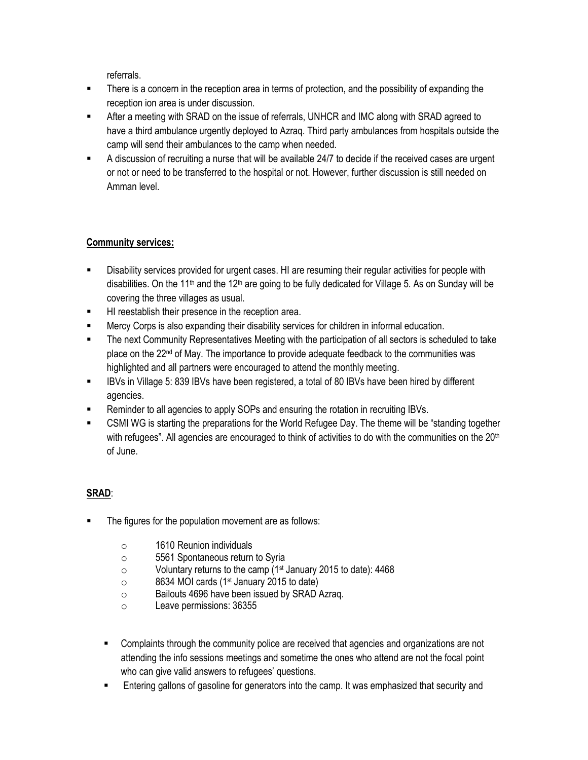referrals.

- **There is a concern in the reception area in terms of protection, and the possibility of expanding the** reception ion area is under discussion.
- After a meeting with SRAD on the issue of referrals, UNHCR and IMC along with SRAD agreed to have a third ambulance urgently deployed to Azraq. Third party ambulances from hospitals outside the camp will send their ambulances to the camp when needed.
- A discussion of recruiting a nurse that will be available 24/7 to decide if the received cases are urgent or not or need to be transferred to the hospital or not. However, further discussion is still needed on Amman level.

## **Community services:**

- Disability services provided for urgent cases. HI are resuming their regular activities for people with disabilities. On the 11<sup>th</sup> and the 12<sup>th</sup> are going to be fully dedicated for Village 5. As on Sunday will be covering the three villages as usual.
- **HI reestablish their presence in the reception area.**
- Mercy Corps is also expanding their disability services for children in informal education.
- The next Community Representatives Meeting with the participation of all sectors is scheduled to take place on the 22nd of May. The importance to provide adequate feedback to the communities was highlighted and all partners were encouraged to attend the monthly meeting.
- IBVs in Village 5: 839 IBVs have been registered, a total of 80 IBVs have been hired by different agencies.
- Reminder to all agencies to apply SOPs and ensuring the rotation in recruiting IBVs.
- CSMI WG is starting the preparations for the World Refugee Day. The theme will be "standing together with refugees". All agencies are encouraged to think of activities to do with the communities on the 20<sup>th</sup> of June.

# **SRAD**:

- The figures for the population movement are as follows:
	- o 1610 Reunion individuals
	- o 5561 Spontaneous return to Syria
	- o Voluntary returns to the camp (1st January 2015 to date): 4468
	- $\circ$  8634 MOI cards (1<sup>st</sup> January 2015 to date)
	- o Bailouts 4696 have been issued by SRAD Azraq.
	- o Leave permissions: 36355
	- **EXECOM** Complaints through the community police are received that agencies and organizations are not attending the info sessions meetings and sometime the ones who attend are not the focal point who can give valid answers to refugees' questions.
	- **Entering gallons of gasoline for generators into the camp. It was emphasized that security and**